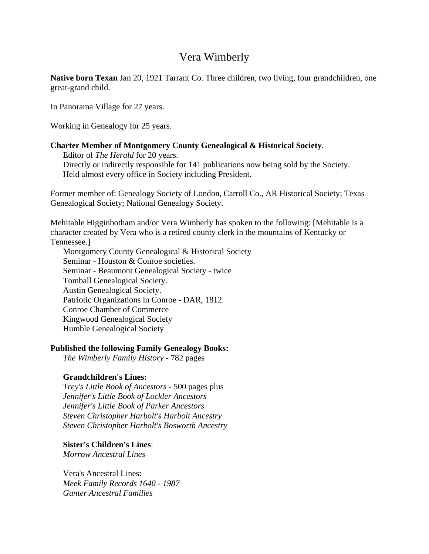# Vera Wimberly

**Native born Texan** Jan 20, 1921 Tarrant Co. Three children, two living, four grandchildren, one great-grand child.

In Panorama Village for 27 years.

Working in Genealogy for 25 years.

### **Charter Member of Montgomery County Genealogical & Historical Society**.

 Editor of *The Herald* for 20 years. Directly or indirectly responsible for 141 publications now being sold by the Society. Held almost every office in Society including President.

Former member of: Genealogy Society of London, Carroll Co., AR Historical Society; Texas Genealogical Society; National Genealogy Society.

Mehitable Higginbotham and/or Vera Wimberly has spoken to the following: [Mehitable is a character created by Vera who is a retired county clerk in the mountains of Kentucky or Tennessee.]

 Montgomery County Genealogical & Historical Society Seminar - Houston & Conroe societies. Seminar - Beaumont Genealogical Society - twice Tomball Genealogical Society. Austin Genealogical Society. Patriotic Organizations in Conroe - DAR, 1812. Conroe Chamber of Commerce Kingwood Genealogical Society Humble Genealogical Society

## **Published the following Family Genealogy Books:**

*The Wimberly Family History* - 782 pages

## **Grandchildren's Lines:**

*Trey's Little Book of Ancestors* - 500 pages plus *Jennifer's Little Book of Lockler Ancestors Jennifer's Little Book of Parker Ancestors Steven Christopher Harbolt's Harbolt Ancestry Steven Christopher Harbolt's Bosworth Ancestry* 

**Sister's Children's Lines**:

*Morrow Ancestral Lines* 

 Vera's Ancestral Lines: *Meek Family Records 1640 - 1987 Gunter Ancestral Families*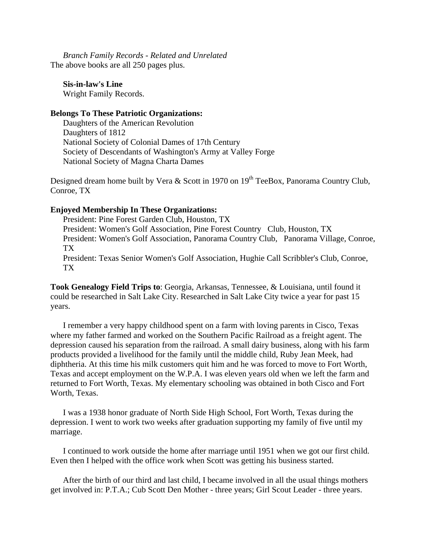*Branch Family Records - Related and Unrelated*  The above books are all 250 pages plus.

**Sis-in-law's Line**  Wright Family Records.

#### **Belongs To These Patriotic Organizations:**

Daughters of the American Revolution Daughters of 1812 National Society of Colonial Dames of 17th Century Society of Descendants of Washington's Army at Valley Forge National Society of Magna Charta Dames

Designed dream home built by Vera & Scott in 1970 on  $19<sup>th</sup>$  TeeBox, Panorama Country Club, Conroe, TX

#### **Enjoyed Membership In These Organizations:**

President: Pine Forest Garden Club, Houston, TX President: Women's Golf Association, Pine Forest Country Club, Houston, TX President: Women's Golf Association, Panorama Country Club, Panorama Village, Conroe, TX President: Texas Senior Women's Golf Association, Hughie Call Scribbler's Club, Conroe, TX

**Took Genealogy Field Trips to**: Georgia, Arkansas, Tennessee, & Louisiana, until found it could be researched in Salt Lake City. Researched in Salt Lake City twice a year for past 15 years.

I remember a very happy childhood spent on a farm with loving parents in Cisco, Texas where my father farmed and worked on the Southern Pacific Railroad as a freight agent. The depression caused his separation from the railroad. A small dairy business, along with his farm products provided a livelihood for the family until the middle child, Ruby Jean Meek, had diphtheria. At this time his milk customers quit him and he was forced to move to Fort Worth, Texas and accept employment on the W.P.A. I was eleven years old when we left the farm and returned to Fort Worth, Texas. My elementary schooling was obtained in both Cisco and Fort Worth, Texas.

I was a 1938 honor graduate of North Side High School, Fort Worth, Texas during the depression. I went to work two weeks after graduation supporting my family of five until my marriage.

I continued to work outside the home after marriage until 1951 when we got our first child. Even then I helped with the office work when Scott was getting his business started.

After the birth of our third and last child, I became involved in all the usual things mothers get involved in: P.T.A.; Cub Scott Den Mother - three years; Girl Scout Leader - three years.